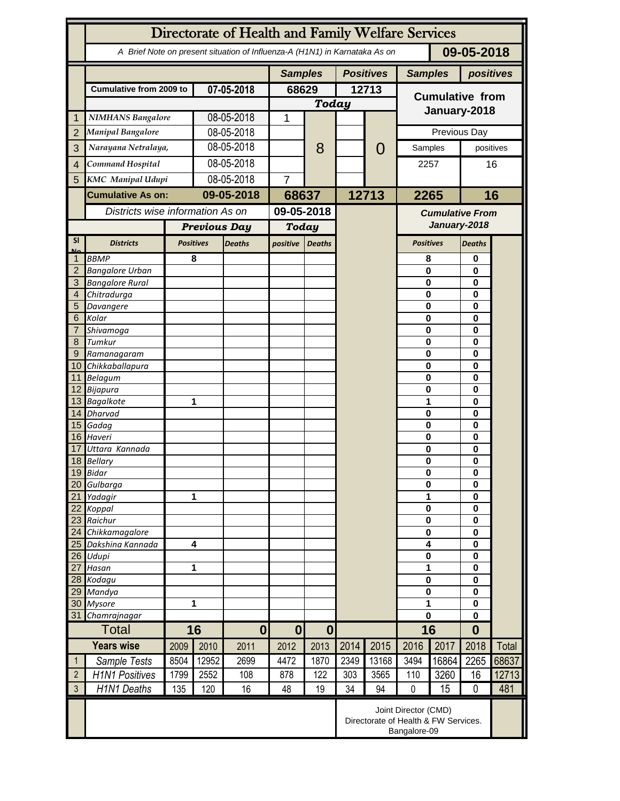|                 | Directorate of Health and Family Welfare Services                                        |              |                                                                              |                |                |                  |       |                |                                        |                       |                      |       |  |
|-----------------|------------------------------------------------------------------------------------------|--------------|------------------------------------------------------------------------------|----------------|----------------|------------------|-------|----------------|----------------------------------------|-----------------------|----------------------|-------|--|
|                 | 09-05-2018<br>A Brief Note on present situation of Influenza-A (H1N1) in Karnataka As on |              |                                                                              |                |                |                  |       |                |                                        |                       |                      |       |  |
|                 |                                                                                          |              |                                                                              | <b>Samples</b> |                | <b>Positives</b> |       | <b>Samples</b> | positives                              |                       |                      |       |  |
|                 | <b>Cumulative from 2009 to</b>                                                           |              | 07-05-2018                                                                   |                | 68629          |                  | 12713 |                | <b>Cumulative from</b>                 |                       |                      |       |  |
|                 |                                                                                          |              |                                                                              |                | <b>Today</b>   |                  |       |                |                                        |                       |                      |       |  |
| 1               | <b>NIMHANS Bangalore</b>                                                                 |              | 08-05-2018                                                                   |                | 1              |                  |       |                | January-2018                           |                       |                      |       |  |
| $\overline{2}$  | <b>Manipal Bangalore</b>                                                                 |              | 08-05-2018                                                                   |                |                |                  |       |                | Previous Day                           |                       |                      |       |  |
| 3               | Narayana Netralaya,                                                                      |              | 08-05-2018                                                                   |                |                | 8                |       | $\mathcal{O}$  | Samples                                |                       | positives            |       |  |
| $\overline{4}$  | Command Hospital                                                                         |              | 08-05-2018                                                                   |                |                |                  |       |                |                                        |                       | 16                   |       |  |
|                 |                                                                                          |              | 08-05-2018                                                                   |                |                |                  |       |                | 2257                                   |                       |                      |       |  |
| 5               | <b>KMC</b> Manipal Udupi                                                                 |              |                                                                              |                | $\overline{7}$ |                  |       |                |                                        |                       |                      |       |  |
|                 | <b>Cumulative As on:</b>                                                                 |              | 09-05-2018                                                                   |                | 68637          |                  | 12713 |                | 2265                                   |                       | 16                   |       |  |
|                 | Districts wise information As on                                                         |              |                                                                              |                | 09-05-2018     |                  |       |                | <b>Cumulative From</b><br>January-2018 |                       |                      |       |  |
|                 |                                                                                          |              | <b>Previous Day</b>                                                          |                | <b>Today</b>   |                  |       |                |                                        |                       |                      |       |  |
| <b>SI</b><br>Mz | <b>Districts</b>                                                                         |              | <b>Positives</b>                                                             | <b>Deaths</b>  | positive       | <b>Deaths</b>    |       |                | <b>Positives</b>                       |                       | <b>Deaths</b>        |       |  |
|                 | <b>BBMP</b>                                                                              |              | 8                                                                            |                |                |                  |       |                | 8                                      |                       | 0                    |       |  |
| $\overline{2}$  | <b>Bangalore Urban</b>                                                                   |              |                                                                              |                |                |                  |       |                | $\mathbf{0}$                           |                       | 0                    |       |  |
| 3               | <b>Bangalore Rural</b>                                                                   |              |                                                                              |                |                |                  |       |                | 0                                      |                       | $\bf{0}$             |       |  |
| 4               | Chitradurga                                                                              |              |                                                                              |                |                |                  |       |                | 0                                      |                       | 0                    |       |  |
| 5<br>6          | Davangere<br>Kolar                                                                       |              |                                                                              |                |                |                  |       |                | 0<br>0                                 |                       | 0<br>0               |       |  |
| 7               | Shivamoga                                                                                |              |                                                                              |                |                |                  |       |                | 0                                      |                       | 0                    |       |  |
| 8               | Tumkur                                                                                   |              |                                                                              |                |                |                  |       |                | $\mathbf 0$                            |                       | 0                    |       |  |
| 9               | Ramanagaram                                                                              |              |                                                                              |                |                |                  |       |                | $\mathbf 0$                            |                       | 0                    |       |  |
| 10 <sup>°</sup> | Chikkaballapura                                                                          |              |                                                                              |                |                |                  |       |                | 0                                      |                       | 0                    |       |  |
|                 | 11 Belagum                                                                               |              |                                                                              |                |                |                  |       |                | 0                                      |                       | 0                    |       |  |
|                 | 12 Bijapura                                                                              |              |                                                                              |                |                |                  |       |                | 0                                      | $\bf{0}$              |                      |       |  |
|                 | 13 Bagalkote                                                                             |              |                                                                              | 1              |                |                  |       |                | 1                                      | $\bf{0}$              |                      |       |  |
|                 | 14 Dharvad<br>15 Gadag                                                                   |              |                                                                              |                |                |                  |       |                | $\mathbf 0$                            | 0<br>$\mathbf 0$<br>0 |                      |       |  |
|                 | 16 Haveri                                                                                |              |                                                                              |                |                |                  |       |                | $\mathbf 0$                            |                       | $\bf{0}$             |       |  |
| 17              | Uttara Kannada                                                                           |              |                                                                              |                |                |                  |       |                | 0                                      |                       | 0                    |       |  |
|                 | 18 Bellary                                                                               |              |                                                                              |                |                |                  |       |                | 0                                      |                       | 0                    |       |  |
|                 | 19 Bidar                                                                                 |              |                                                                              |                |                |                  |       |                | 0                                      |                       | 0<br>0               |       |  |
| 20              | Gulbarga                                                                                 |              |                                                                              |                |                |                  |       |                |                                        | $\bf{0}$              |                      |       |  |
| 21<br>22        | Yadagir                                                                                  | 1            |                                                                              |                |                |                  |       |                | 1                                      |                       | 0                    |       |  |
| 23              | Koppal<br>Raichur                                                                        |              |                                                                              |                |                |                  |       |                | $\bf{0}$<br>$\bf{0}$                   |                       | $\bf{0}$<br>$\bf{0}$ |       |  |
| 24              | Chikkamagalore                                                                           |              |                                                                              |                |                |                  |       |                |                                        | $\bf{0}$              | $\bf{0}$             |       |  |
| 25              | Dakshina Kannada                                                                         |              | $\overline{\mathbf{4}}$                                                      |                |                |                  |       |                | 4                                      |                       | $\bf{0}$             |       |  |
| 26              | Udupi                                                                                    |              |                                                                              |                |                |                  |       |                | $\pmb{0}$                              |                       | $\bf{0}$             |       |  |
| 27              | Hasan                                                                                    |              | 1                                                                            |                |                |                  |       |                |                                        | 1                     |                      |       |  |
|                 | 28 Kodagu                                                                                |              |                                                                              |                |                |                  |       |                | $\pmb{0}$                              |                       | $\bf{0}$             |       |  |
| 29<br>30        | Mandya<br><b>Mysore</b>                                                                  |              | 1                                                                            |                |                |                  |       |                | $\bf{0}$<br>1                          |                       | $\bf{0}$<br>$\bf{0}$ |       |  |
| 31              |                                                                                          | Chamrajnagar |                                                                              |                |                |                  |       |                | $\mathbf 0$                            |                       | $\bf{0}$             |       |  |
|                 | <b>Total</b>                                                                             |              | 16<br>$\mathbf{0}$                                                           |                | $\bf{0}$       | $\boldsymbol{0}$ |       |                | 16                                     |                       | $\bf{0}$             |       |  |
|                 | <b>Years wise</b>                                                                        | 2009         | 2010                                                                         | 2011           | 2012           | 2013             | 2014  | 2015           | 2016                                   | 2017                  | 2018                 | Total |  |
| $\mathbf{1}$    | Sample Tests                                                                             | 8504         | 12952                                                                        | 2699           | 4472           | 1870             | 2349  | 13168          | 3494                                   | 16864                 | 2265                 | 68637 |  |
| $\overline{2}$  | <b>H1N1 Positives</b>                                                                    | 1799         | 2552                                                                         | 108            | 878            | 122              | 303   | 3565           | 110                                    | 3260                  | 16                   | 12713 |  |
| $\mathfrak{Z}$  | H1N1 Deaths                                                                              | 135          | 120                                                                          | 16             | 48             | 19               | 34    | 94             | $\mathbf 0$                            | 15                    | $\mathbf 0$          | 481   |  |
|                 |                                                                                          |              | Joint Director (CMD)<br>Directorate of Health & FW Services.<br>Bangalore-09 |                |                |                  |       |                |                                        |                       |                      |       |  |